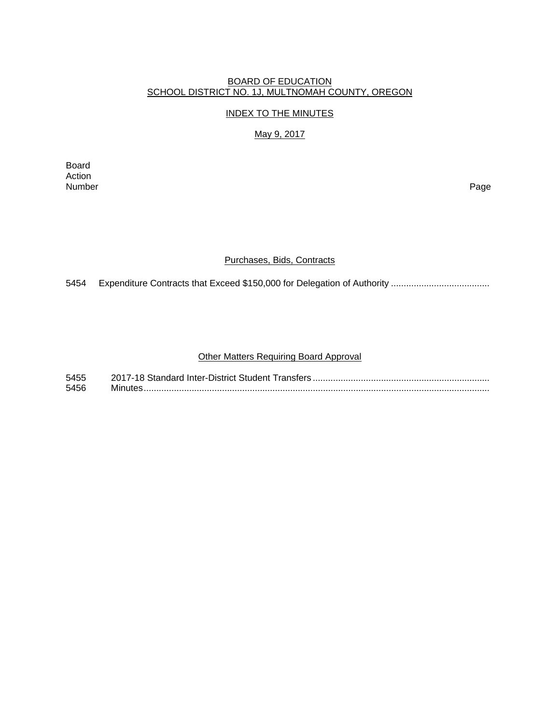## BOARD OF EDUCATION SCHOOL DISTRICT NO. 1J, MULTNOMAH COUNTY, OREGON

#### INDEX TO THE MINUTES

# May 9, 2017

Board Action<br>Number Number Page

#### Purchases, Bids, Contracts

5454 Expenditure Contracts that Exceed \$150,000 for Delegation of Authority ..................................

### Other Matters Requiring Board Approval

| 5455 |  |
|------|--|
| 5456 |  |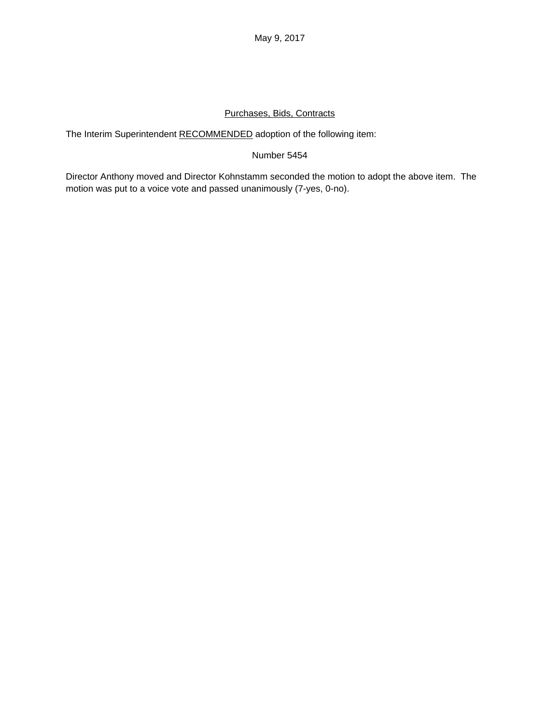## Purchases, Bids, Contracts

The Interim Superintendent RECOMMENDED adoption of the following item:

## Number 5454

Director Anthony moved and Director Kohnstamm seconded the motion to adopt the above item. The motion was put to a voice vote and passed unanimously (7-yes, 0-no).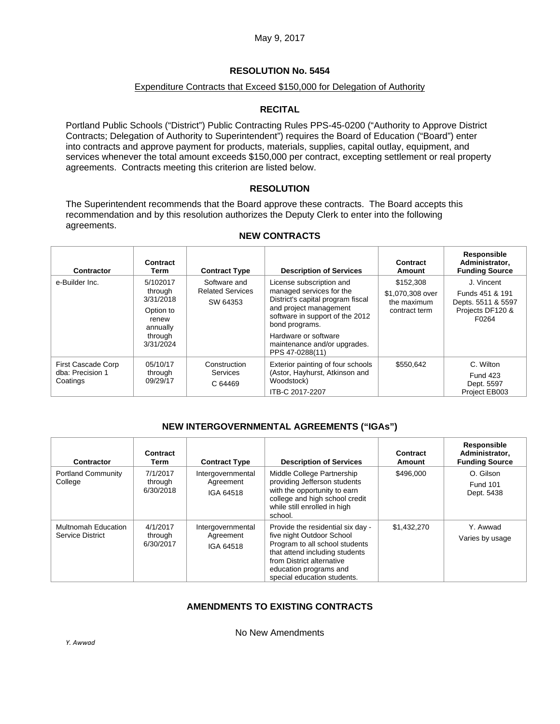## **RESOLUTION No. 5454**

### Expenditure Contracts that Exceed \$150,000 for Delegation of Authority

## **RECITAL**

Portland Public Schools ("District") Public Contracting Rules PPS-45-0200 ("Authority to Approve District Contracts; Delegation of Authority to Superintendent") requires the Board of Education ("Board") enter into contracts and approve payment for products, materials, supplies, capital outlay, equipment, and services whenever the total amount exceeds \$150,000 per contract, excepting settlement or real property agreements. Contracts meeting this criterion are listed below.

## **RESOLUTION**

The Superintendent recommends that the Board approve these contracts. The Board accepts this recommendation and by this resolution authorizes the Deputy Clerk to enter into the following agreements.

| Contractor                                         | Contract<br>Term                                                                           | <b>Contract Type</b>                                | <b>Description of Services</b>                                                                                                                                                                                                                      | Contract<br>Amount                                            | Responsible<br>Administrator,<br><b>Funding Source</b>                           |
|----------------------------------------------------|--------------------------------------------------------------------------------------------|-----------------------------------------------------|-----------------------------------------------------------------------------------------------------------------------------------------------------------------------------------------------------------------------------------------------------|---------------------------------------------------------------|----------------------------------------------------------------------------------|
| e-Builder Inc.                                     | 5/102017<br>through<br>3/31/2018<br>Option to<br>renew<br>annually<br>through<br>3/31/2024 | Software and<br><b>Related Services</b><br>SW 64353 | License subscription and<br>managed services for the<br>District's capital program fiscal<br>and project management<br>software in support of the 2012<br>bond programs.<br>Hardware or software<br>maintenance and/or upgrades.<br>PPS 47-0288(11) | \$152,308<br>\$1,070,308 over<br>the maximum<br>contract term | J. Vincent<br>Funds 451 & 191<br>Depts. 5511 & 5597<br>Projects DF120 &<br>F0264 |
| First Cascade Corp<br>dba: Precision 1<br>Coatings | 05/10/17<br>through<br>09/29/17                                                            | Construction<br>Services<br>C 64469                 | Exterior painting of four schools<br>(Astor, Hayhurst, Atkinson and<br>Woodstock)<br>ITB-C 2017-2207                                                                                                                                                | \$550,642                                                     | C. Wilton<br><b>Fund 423</b><br>Dept. 5597<br>Project EB003                      |

### **NEW CONTRACTS**

## **NEW INTERGOVERNMENTAL AGREEMENTS ("IGAs")**

| <b>Contractor</b>                              | Contract<br>Term                 | <b>Contract Type</b>                        | <b>Description of Services</b>                                                                                                                                                                                           | Contract<br>Amount | Responsible<br>Administrator,<br><b>Funding Source</b> |
|------------------------------------------------|----------------------------------|---------------------------------------------|--------------------------------------------------------------------------------------------------------------------------------------------------------------------------------------------------------------------------|--------------------|--------------------------------------------------------|
| <b>Portland Community</b><br>College           | 7/1/2017<br>through<br>6/30/2018 | Intergovernmental<br>Agreement<br>IGA 64518 | Middle College Partnership<br>providing Jefferson students<br>with the opportunity to earn<br>college and high school credit<br>while still enrolled in high<br>school.                                                  | \$496,000          | O. Gilson<br><b>Fund 101</b><br>Dept. 5438             |
| <b>Multnomah Education</b><br>Service District | 4/1/2017<br>through<br>6/30/2017 | Intergovernmental<br>Agreement<br>IGA 64518 | Provide the residential six day -<br>five night Outdoor School<br>Program to all school students<br>that attend including students<br>from District alternative<br>education programs and<br>special education students. | \$1,432,270        | Y. Awwad<br>Varies by usage                            |

# **AMENDMENTS TO EXISTING CONTRACTS**

No New Amendments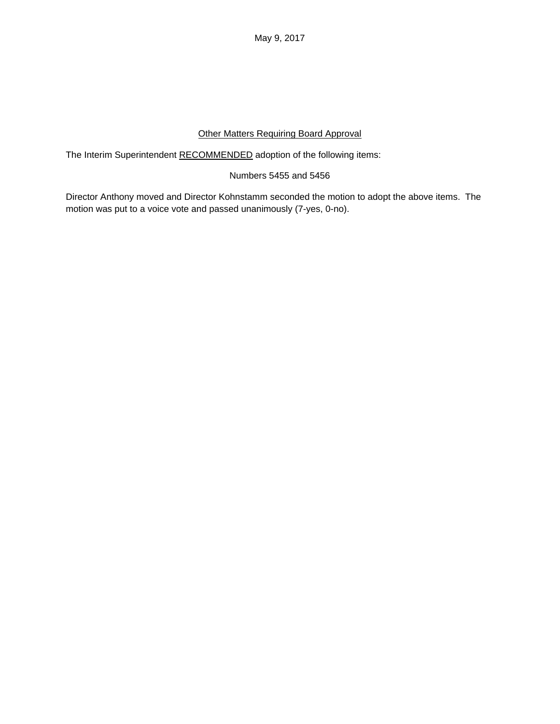May 9, 2017

# Other Matters Requiring Board Approval

The Interim Superintendent RECOMMENDED adoption of the following items:

## Numbers 5455 and 5456

Director Anthony moved and Director Kohnstamm seconded the motion to adopt the above items. The motion was put to a voice vote and passed unanimously (7-yes, 0-no).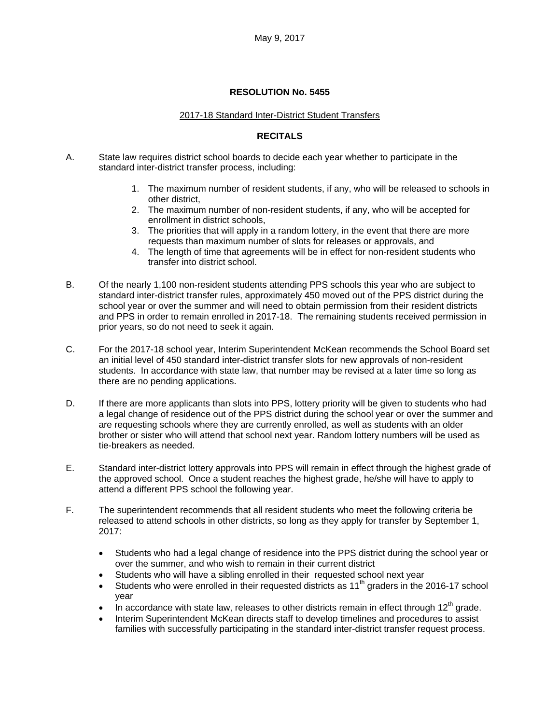#### **RESOLUTION No. 5455**

#### 2017-18 Standard Inter-District Student Transfers

## **RECITALS**

- A. State law requires district school boards to decide each year whether to participate in the standard inter-district transfer process, including:
	- 1. The maximum number of resident students, if any, who will be released to schools in other district,
	- 2. The maximum number of non-resident students, if any, who will be accepted for enrollment in district schools,
	- 3. The priorities that will apply in a random lottery, in the event that there are more requests than maximum number of slots for releases or approvals, and
	- 4. The length of time that agreements will be in effect for non-resident students who transfer into district school.
- B. Of the nearly 1,100 non-resident students attending PPS schools this year who are subject to standard inter-district transfer rules, approximately 450 moved out of the PPS district during the school year or over the summer and will need to obtain permission from their resident districts and PPS in order to remain enrolled in 2017-18. The remaining students received permission in prior years, so do not need to seek it again.
- C. For the 2017-18 school year, Interim Superintendent McKean recommends the School Board set an initial level of 450 standard inter-district transfer slots for new approvals of non-resident students. In accordance with state law, that number may be revised at a later time so long as there are no pending applications.
- D. If there are more applicants than slots into PPS, lottery priority will be given to students who had a legal change of residence out of the PPS district during the school year or over the summer and are requesting schools where they are currently enrolled, as well as students with an older brother or sister who will attend that school next year. Random lottery numbers will be used as tie-breakers as needed.
- E. Standard inter-district lottery approvals into PPS will remain in effect through the highest grade of the approved school. Once a student reaches the highest grade, he/she will have to apply to attend a different PPS school the following year.
- F. The superintendent recommends that all resident students who meet the following criteria be released to attend schools in other districts, so long as they apply for transfer by September 1, 2017:
	- Students who had a legal change of residence into the PPS district during the school year or over the summer, and who wish to remain in their current district
	- Students who will have a sibling enrolled in their requested school next year
	- Students who were enrolled in their requested districts as  $11<sup>th</sup>$  graders in the 2016-17 school year
	- In accordance with state law, releases to other districts remain in effect through  $12<sup>th</sup>$  grade.
	- Interim Superintendent McKean directs staff to develop timelines and procedures to assist families with successfully participating in the standard inter-district transfer request process.